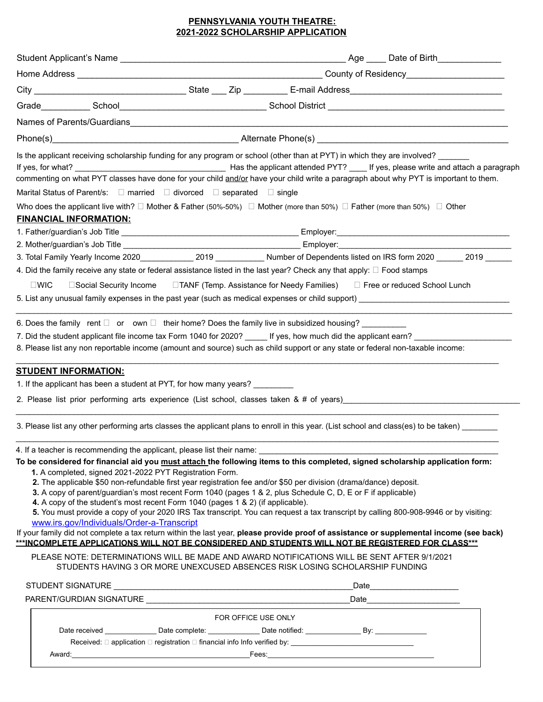## **PENNSYLVANIA YOUTH THEATRE: 2021-2022 SCHOLARSHIP APPLICATION**

|                                                                                                                                             | Phone(s) Alternate Phone(s) Alternate Phone(s)                                                                                          |
|---------------------------------------------------------------------------------------------------------------------------------------------|-----------------------------------------------------------------------------------------------------------------------------------------|
|                                                                                                                                             | Is the applicant receiving scholarship funding for any program or school (other than at PYT) in which they are involved?                |
|                                                                                                                                             |                                                                                                                                         |
|                                                                                                                                             | commenting on what PYT classes have done for your child and/or have your child write a paragraph about why PYT is important to them.    |
| Marital Status of Parent/s: $\square$ married $\square$ divorced $\square$ separated $\square$ single                                       |                                                                                                                                         |
| Who does the applicant live with? $\Box$ Mother & Father (50%-50%) $\Box$ Mother (more than 50%) $\Box$ Father (more than 50%) $\Box$ Other |                                                                                                                                         |
| <b>FINANCIAL INFORMATION:</b>                                                                                                               |                                                                                                                                         |
|                                                                                                                                             |                                                                                                                                         |
|                                                                                                                                             |                                                                                                                                         |
|                                                                                                                                             |                                                                                                                                         |
| 4. Did the family receive any state or federal assistance listed in the last year? Check any that apply: $\Box$ Food stamps                 |                                                                                                                                         |
| $\square$ WIC                                                                                                                               | □Social Security Income □TANF (Temp. Assistance for Needy Families) □ Free or reduced School Lunch                                      |
|                                                                                                                                             | 5. List any unusual family expenses in the past year (such as medical expenses or child support)                                        |
|                                                                                                                                             |                                                                                                                                         |
| 6. Does the family rent $\Box$ or own $\Box$ their home? Does the family live in subsidized housing?                                        |                                                                                                                                         |
|                                                                                                                                             | 7. Did the student applicant file income tax Form 1040 for 2020? ______ If yes, how much did the applicant earn?                        |
| 8. Please list any non reportable income (amount and source) such as child support or any state or federal non-taxable income:              |                                                                                                                                         |
|                                                                                                                                             |                                                                                                                                         |
| <b>STUDENT INFORMATION:</b>                                                                                                                 |                                                                                                                                         |
| 1. If the applicant has been a student at PYT, for how many years?                                                                          |                                                                                                                                         |
|                                                                                                                                             | 2. Please list prior performing arts experience (List school, classes taken & # of years)                                               |
|                                                                                                                                             |                                                                                                                                         |
|                                                                                                                                             | 3. Please list any other performing arts classes the applicant plans to enroll in this year. (List school and class(es) to be taken)    |
|                                                                                                                                             |                                                                                                                                         |
| 4. If a teacher is recommending the applicant, please list their name: _                                                                    | To be considered for financial aid you must attach the following items to this completed, signed scholarship application form:          |
| 1. A completed, signed 2021-2022 PYT Registration Form.                                                                                     |                                                                                                                                         |
| 2. The applicable \$50 non-refundable first year registration fee and/or \$50 per division (drama/dance) deposit.                           |                                                                                                                                         |
| 3. A copy of parent/guardian's most recent Form 1040 (pages 1 & 2, plus Schedule C, D, E or F if applicable)                                |                                                                                                                                         |
| 4. A copy of the student's most recent Form 1040 (pages 1 & 2) (if applicable).                                                             |                                                                                                                                         |
| www.irs.gov/Individuals/Order-a-Transcript                                                                                                  | 5. You must provide a copy of your 2020 IRS Tax transcript. You can request a tax transcript by calling 800-908-9946 or by visiting:    |
|                                                                                                                                             | If your family did not complete a tax return within the last year, please provide proof of assistance or supplemental income (see back) |
|                                                                                                                                             | ***INCOMPLETE APPLICATIONS WILL NOT BE CONSIDERED AND STUDENTS WILL NOT BE REGISTERED FOR CLASS***                                      |
| PLEASE NOTE: DETERMINATIONS WILL BE MADE AND AWARD NOTIFICATIONS WILL BE SENT AFTER 9/1/2021                                                |                                                                                                                                         |
| STUDENTS HAVING 3 OR MORE UNEXCUSED ABSENCES RISK LOSING SCHOLARSHIP FUNDING                                                                |                                                                                                                                         |
|                                                                                                                                             |                                                                                                                                         |
|                                                                                                                                             |                                                                                                                                         |
|                                                                                                                                             |                                                                                                                                         |
|                                                                                                                                             | FOR OFFICE USE ONLY                                                                                                                     |
|                                                                                                                                             |                                                                                                                                         |
|                                                                                                                                             |                                                                                                                                         |
|                                                                                                                                             |                                                                                                                                         |